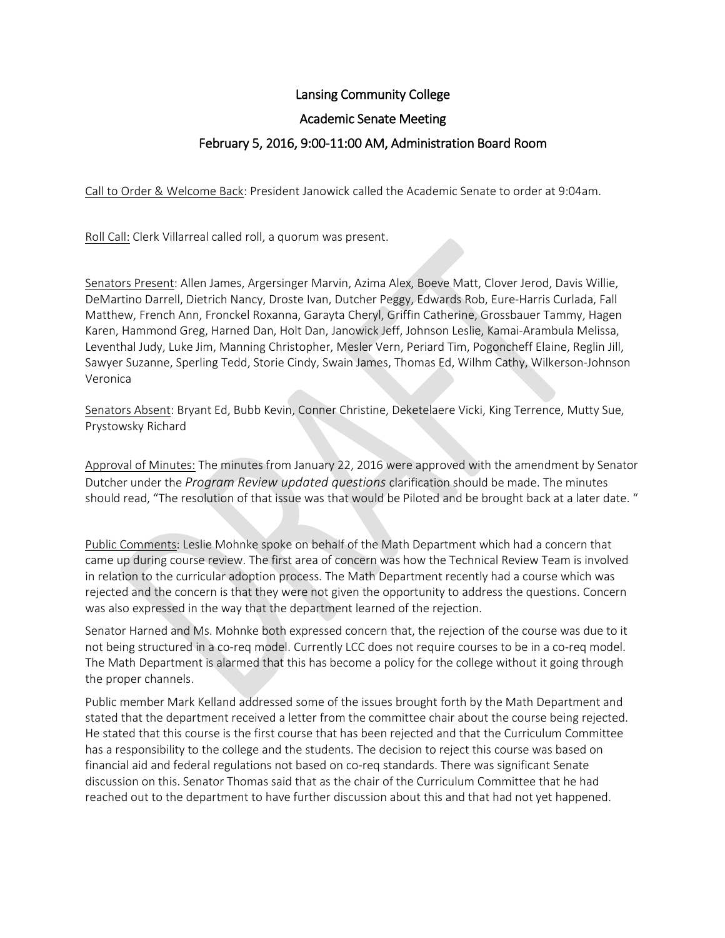# Lansing Community College

## Academic Senate Meeting

# February 5, 2016, 9:00-11:00 AM, Administration Board Room

Call to Order & Welcome Back: President Janowick called the Academic Senate to order at 9:04am.

Roll Call: Clerk Villarreal called roll, a quorum was present.

Senators Present: Allen James, Argersinger Marvin, Azima Alex, Boeve Matt, Clover Jerod, Davis Willie, DeMartino Darrell, Dietrich Nancy, Droste Ivan, Dutcher Peggy, Edwards Rob, Eure-Harris Curlada, Fall Matthew, French Ann, Fronckel Roxanna, Garayta Cheryl, Griffin Catherine, Grossbauer Tammy, Hagen Karen, Hammond Greg, Harned Dan, Holt Dan, Janowick Jeff, Johnson Leslie, Kamai-Arambula Melissa, Leventhal Judy, Luke Jim, Manning Christopher, Mesler Vern, Periard Tim, Pogoncheff Elaine, Reglin Jill, Sawyer Suzanne, Sperling Tedd, Storie Cindy, Swain James, Thomas Ed, Wilhm Cathy, Wilkerson-Johnson Veronica

Senators Absent: Bryant Ed, Bubb Kevin, Conner Christine, Deketelaere Vicki, King Terrence, Mutty Sue, Prystowsky Richard

Approval of Minutes: The minutes from January 22, 2016 were approved with the amendment by Senator Dutcher under the *Program Review updated questions* clarification should be made. The minutes should read, "The resolution of that issue was that would be Piloted and be brought back at a later date. "

Public Comments: Leslie Mohnke spoke on behalf of the Math Department which had a concern that came up during course review. The first area of concern was how the Technical Review Team is involved in relation to the curricular adoption process. The Math Department recently had a course which was rejected and the concern is that they were not given the opportunity to address the questions. Concern was also expressed in the way that the department learned of the rejection.

Senator Harned and Ms. Mohnke both expressed concern that, the rejection of the course was due to it not being structured in a co-req model. Currently LCC does not require courses to be in a co-req model. The Math Department is alarmed that this has become a policy for the college without it going through the proper channels.

Public member Mark Kelland addressed some of the issues brought forth by the Math Department and stated that the department received a letter from the committee chair about the course being rejected. He stated that this course is the first course that has been rejected and that the Curriculum Committee has a responsibility to the college and the students. The decision to reject this course was based on financial aid and federal regulations not based on co-req standards. There was significant Senate discussion on this. Senator Thomas said that as the chair of the Curriculum Committee that he had reached out to the department to have further discussion about this and that had not yet happened.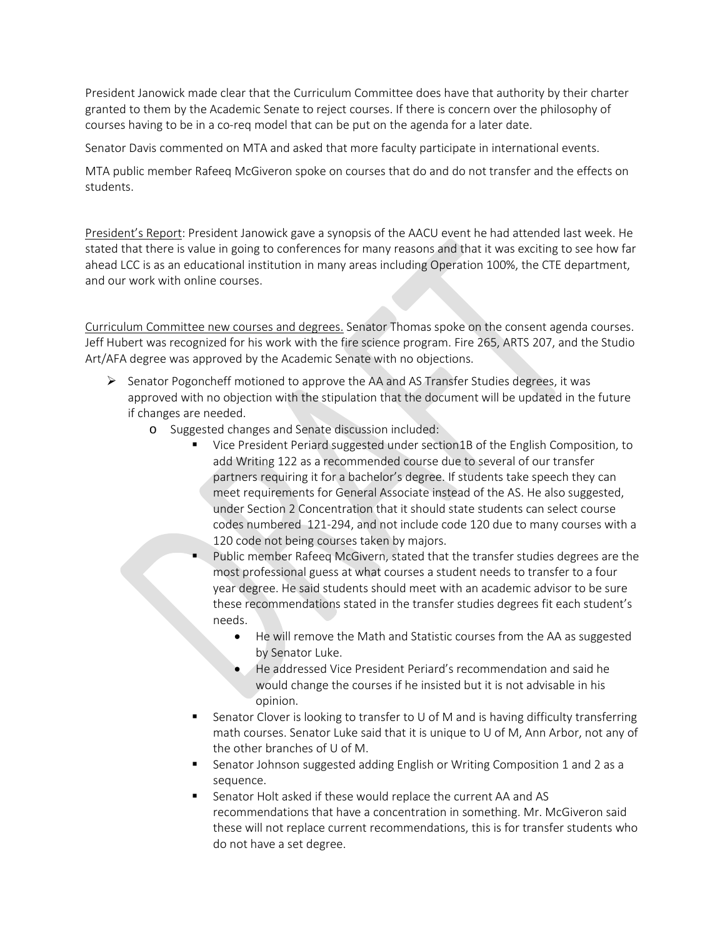President Janowick made clear that the Curriculum Committee does have that authority by their charter granted to them by the Academic Senate to reject courses. If there is concern over the philosophy of courses having to be in a co-req model that can be put on the agenda for a later date.

Senator Davis commented on MTA and asked that more faculty participate in international events.

MTA public member Rafeeq McGiveron spoke on courses that do and do not transfer and the effects on students.

President's Report: President Janowick gave a synopsis of the AACU event he had attended last week. He stated that there is value in going to conferences for many reasons and that it was exciting to see how far ahead LCC is as an educational institution in many areas including Operation 100%, the CTE department, and our work with online courses.

Curriculum Committee new courses and degrees. Senator Thomas spoke on the consent agenda courses. Jeff Hubert was recognized for his work with the fire science program. Fire 265, ARTS 207, and the Studio Art/AFA degree was approved by the Academic Senate with no objections.

- $\triangleright$  Senator Pogoncheff motioned to approve the AA and AS Transfer Studies degrees, it was approved with no objection with the stipulation that the document will be updated in the future if changes are needed.
	- o Suggested changes and Senate discussion included:
		- Vice President Periard suggested under section1B of the English Composition, to add Writing 122 as a recommended course due to several of our transfer partners requiring it for a bachelor's degree. If students take speech they can meet requirements for General Associate instead of the AS. He also suggested, under Section 2 Concentration that it should state students can select course codes numbered 121-294, and not include code 120 due to many courses with a 120 code not being courses taken by majors.
		- Public member Rafeeq McGivern, stated that the transfer studies degrees are the most professional guess at what courses a student needs to transfer to a four year degree. He said students should meet with an academic advisor to be sure these recommendations stated in the transfer studies degrees fit each student's needs.
			- He will remove the Math and Statistic courses from the AA as suggested by Senator Luke.
			- He addressed Vice President Periard's recommendation and said he would change the courses if he insisted but it is not advisable in his opinion.
		- **Senator Clover is looking to transfer to U of M and is having difficulty transferring** math courses. Senator Luke said that it is unique to U of M, Ann Arbor, not any of the other branches of U of M.
		- Senator Johnson suggested adding English or Writing Composition 1 and 2 as a sequence.
		- Senator Holt asked if these would replace the current AA and AS recommendations that have a concentration in something. Mr. McGiveron said these will not replace current recommendations, this is for transfer students who do not have a set degree.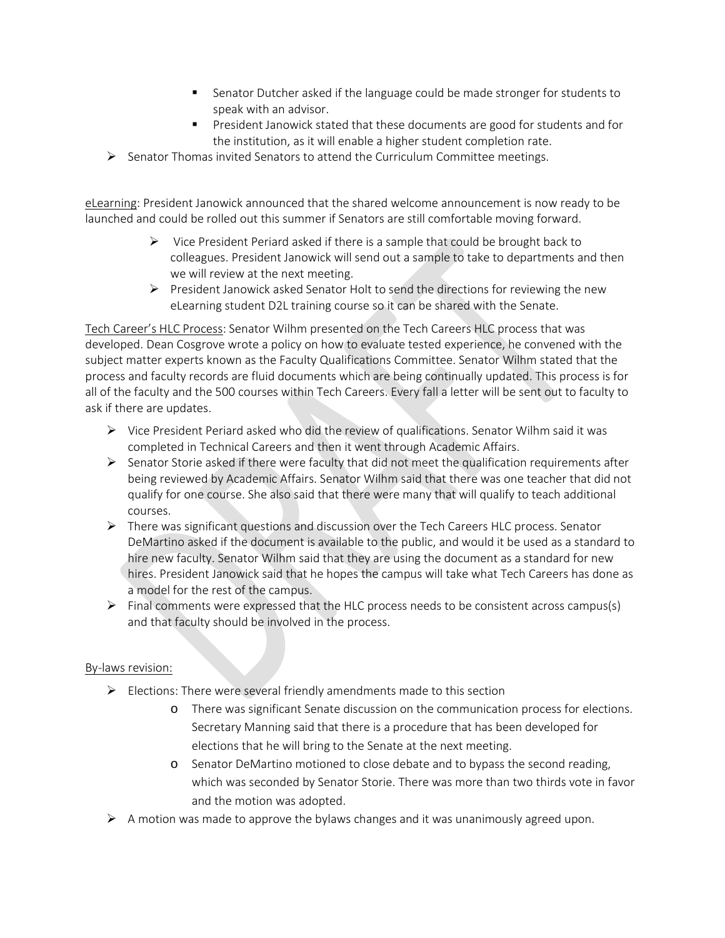- Senator Dutcher asked if the language could be made stronger for students to speak with an advisor.
- **President Janowick stated that these documents are good for students and for** the institution, as it will enable a higher student completion rate.
- $\triangleright$  Senator Thomas invited Senators to attend the Curriculum Committee meetings.

eLearning: President Janowick announced that the shared welcome announcement is now ready to be launched and could be rolled out this summer if Senators are still comfortable moving forward.

- $\triangleright$  Vice President Periard asked if there is a sample that could be brought back to colleagues. President Janowick will send out a sample to take to departments and then we will review at the next meeting.
- $\triangleright$  President Janowick asked Senator Holt to send the directions for reviewing the new eLearning student D2L training course so it can be shared with the Senate.

Tech Career's HLC Process: Senator Wilhm presented on the Tech Careers HLC process that was developed. Dean Cosgrove wrote a policy on how to evaluate tested experience, he convened with the subject matter experts known as the Faculty Qualifications Committee. Senator Wilhm stated that the process and faculty records are fluid documents which are being continually updated. This process is for all of the faculty and the 500 courses within Tech Careers. Every fall a letter will be sent out to faculty to ask if there are updates.

- Vice President Periard asked who did the review of qualifications. Senator Wilhm said it was completed in Technical Careers and then it went through Academic Affairs.
- $\triangleright$  Senator Storie asked if there were faculty that did not meet the qualification requirements after being reviewed by Academic Affairs. Senator Wilhm said that there was one teacher that did not qualify for one course. She also said that there were many that will qualify to teach additional courses.
- $\triangleright$  There was significant questions and discussion over the Tech Careers HLC process. Senator DeMartino asked if the document is available to the public, and would it be used as a standard to hire new faculty. Senator Wilhm said that they are using the document as a standard for new hires. President Janowick said that he hopes the campus will take what Tech Careers has done as a model for the rest of the campus.
- $\triangleright$  Final comments were expressed that the HLC process needs to be consistent across campus(s) and that faculty should be involved in the process.

## By-laws revision:

- $\triangleright$  Elections: There were several friendly amendments made to this section
	- o There was significant Senate discussion on the communication process for elections. Secretary Manning said that there is a procedure that has been developed for elections that he will bring to the Senate at the next meeting.
	- o Senator DeMartino motioned to close debate and to bypass the second reading, which was seconded by Senator Storie. There was more than two thirds vote in favor and the motion was adopted.
- $\triangleright$  A motion was made to approve the bylaws changes and it was unanimously agreed upon.